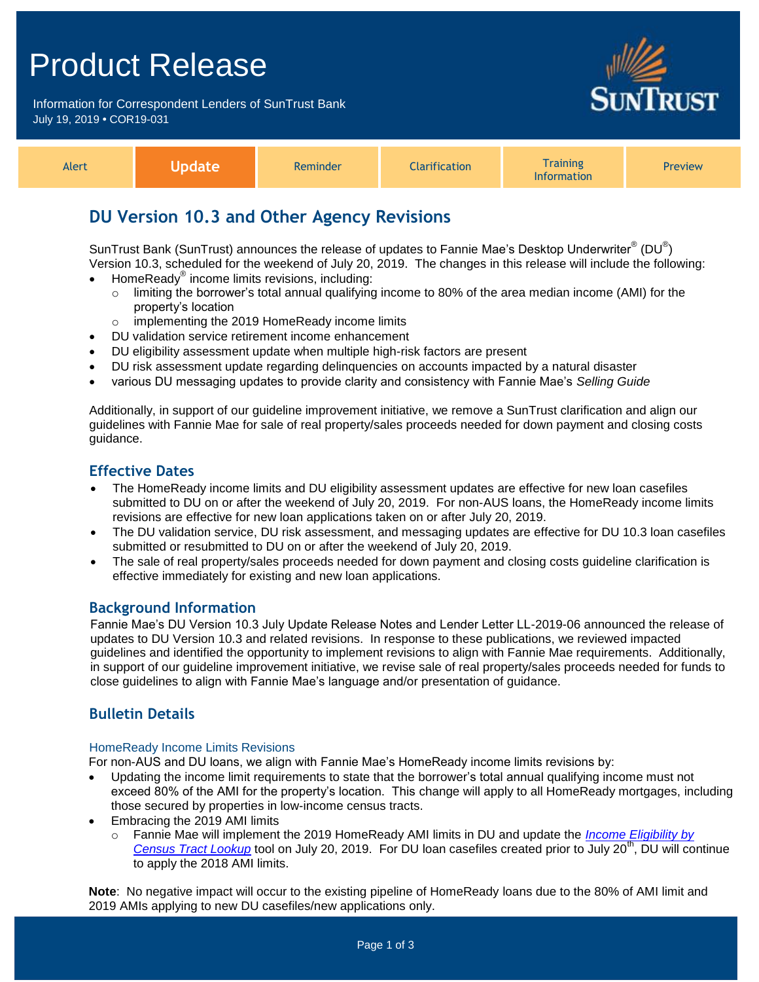# Product Release

Information for Correspondent Lenders of SunTrust Bank July 19, 2019 **•** COR19-031



| Alert | Nndate<br>ruucc | Reminder | <b>Tarification</b> | Training<br><b>Information</b> | <b>Preview</b> |
|-------|-----------------|----------|---------------------|--------------------------------|----------------|
|-------|-----------------|----------|---------------------|--------------------------------|----------------|

# **DU Version 10.3 and Other Agency Revisions**

SunTrust Bank (SunTrust) announces the release of updates to Fannie Mae's Desktop Underwriter® (DU®) Version 10.3, scheduled for the weekend of July 20, 2019. The changes in this release will include the following:

- $\bullet$  HomeReady® income limits revisions, including:
	- o limiting the borrower's total annual qualifying income to 80% of the area median income (AMI) for the property's location
	- o implementing the 2019 HomeReady income limits
- DU validation service retirement income enhancement
- DU eligibility assessment update when multiple high-risk factors are present
- DU risk assessment update regarding delinquencies on accounts impacted by a natural disaster
- various DU messaging updates to provide clarity and consistency with Fannie Mae's *Selling Guide*

Additionally, in support of our guideline improvement initiative, we remove a SunTrust clarification and align our guidelines with Fannie Mae for sale of real property/sales proceeds needed for down payment and closing costs guidance.

## **Effective Dates**

- The HomeReady income limits and DU eligibility assessment updates are effective for new loan casefiles submitted to DU on or after the weekend of July 20, 2019. For non-AUS loans, the HomeReady income limits revisions are effective for new loan applications taken on or after July 20, 2019.
- The DU validation service, DU risk assessment, and messaging updates are effective for DU 10.3 loan casefiles submitted or resubmitted to DU on or after the weekend of July 20, 2019.
- The sale of real property/sales proceeds needed for down payment and closing costs guideline clarification is effective immediately for existing and new loan applications.

### **Background Information**

Fannie Mae's DU Version 10.3 July Update Release Notes and Lender Letter LL-2019-06 announced the release of updates to DU Version 10.3 and related revisions. In response to these publications, we reviewed impacted guidelines and identified the opportunity to implement revisions to align with Fannie Mae requirements. Additionally, in support of our guideline improvement initiative, we revise sale of real property/sales proceeds needed for funds to close guidelines to align with Fannie Mae's language and/or presentation of guidance.

# **Bulletin Details**

#### HomeReady Income Limits Revisions

For non-AUS and DU loans, we align with Fannie Mae's HomeReady income limits revisions by:

- Updating the income limit requirements to state that the borrower's total annual qualifying income must not exceed 80% of the AMI for the property's location. This change will apply to all HomeReady mortgages, including those secured by properties in low-income census tracts.
- Embracing the 2019 AMI limits
	- o Fannie Mae will implement the 2019 HomeReady AMI limits in DU and update the *[Income Eligibility by](https://www.fanniemae.com/content/eligibility_information/homeready-income-eligibility-lookup.xlsx)  [Census Tract Lookup](https://www.fanniemae.com/content/eligibility_information/homeready-income-eligibility-lookup.xlsx)* tool on July 20, 2019. For DU loan casefiles created prior to July 20<sup>th</sup>, DU will continue to apply the 2018 AMI limits.

**Note**: No negative impact will occur to the existing pipeline of HomeReady loans due to the 80% of AMI limit and 2019 AMIs applying to new DU casefiles/new applications only.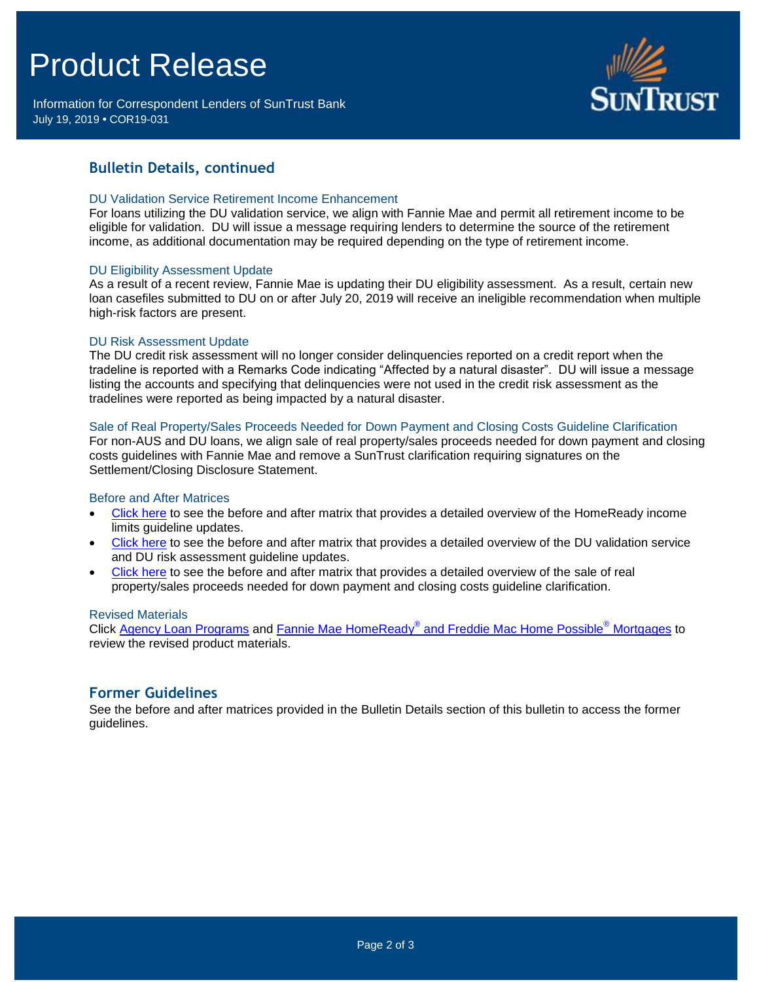# Product Release

Information for Correspondent Lenders of SunTrust Bank July 19, 2019 **•** COR19-031



# **Bulletin Details, continued**

#### DU Validation Service Retirement Income Enhancement

For loans utilizing the DU validation service, we align with Fannie Mae and permit all retirement income to be eligible for validation. DU will issue a message requiring lenders to determine the source of the retirement income, as additional documentation may be required depending on the type of retirement income.

#### DU Eligibility Assessment Update

As a result of a recent review, Fannie Mae is updating their DU eligibility assessment. As a result, certain new loan casefiles submitted to DU on or after July 20, 2019 will receive an ineligible recommendation when multiple high-risk factors are present.

#### DU Risk Assessment Update

The DU credit risk assessment will no longer consider delinquencies reported on a credit report when the tradeline is reported with a Remarks Code indicating "Affected by a natural disaster". DU will issue a message listing the accounts and specifying that delinquencies were not used in the credit risk assessment as the tradelines were reported as being impacted by a natural disaster.

#### Sale of Real Property/Sales Proceeds Needed for Down Payment and Closing Costs Guideline Clarification

For non-AUS and DU loans, we align sale of real property/sales proceeds needed for down payment and closing costs guidelines with Fannie Mae and remove a SunTrust clarification requiring signatures on the Settlement/Closing Disclosure Statement.

#### Before and After Matrices

- [Click here](http://www.truistsellerguide.com/manual/cor/products/Cr19-031HR.pdf) to see the before and after matrix that provides a detailed overview of the HomeReady income limits guideline updates.
- [Click here](http://www.truistsellerguide.com/manual/cor/products/Cr19-031DU.pdf) to see the before and after matrix that provides a detailed overview of the DU validation service and DU risk assessment guideline updates.
- [Click here](http://www.truistsellerguide.com/manual/cor/products/Cr19-031ExistandNew.pdf) to see the before and after matrix that provides a detailed overview of the sale of real property/sales proceeds needed for down payment and closing costs guideline clarification.

#### Revised Materials

Click [Agency Loan Programs](https://www.truistsellerguide.com/manual/cor/products/CAgency.pdf) and Fannie Mae HomeReady® [and Freddie Mac Home Possible](https://www.truistsellerguide.com/Manual/cor/products/CHomeReadyandHomePossible.pdf)® Mortgages to review the revised product materials.

### **Former Guidelines**

See the before and after matrices provided in the Bulletin Details section of this bulletin to access the former guidelines.